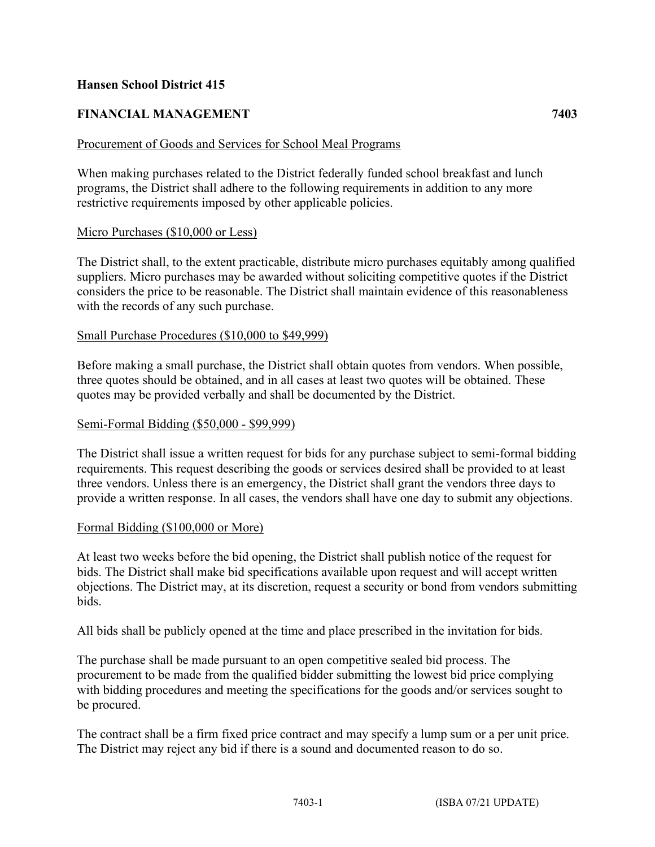## **Hansen School District 415**

# **FINANCIAL MANAGEMENT 7403**

### Procurement of Goods and Services for School Meal Programs

When making purchases related to the District federally funded school breakfast and lunch programs, the District shall adhere to the following requirements in addition to any more restrictive requirements imposed by other applicable policies.

### Micro Purchases (\$10,000 or Less)

The District shall, to the extent practicable, distribute micro purchases equitably among qualified suppliers. Micro purchases may be awarded without soliciting competitive quotes if the District considers the price to be reasonable. The District shall maintain evidence of this reasonableness with the records of any such purchase.

### Small Purchase Procedures (\$10,000 to \$49,999)

Before making a small purchase, the District shall obtain quotes from vendors. When possible, three quotes should be obtained, and in all cases at least two quotes will be obtained. These quotes may be provided verbally and shall be documented by the District.

#### Semi-Formal Bidding (\$50,000 - \$99,999)

The District shall issue a written request for bids for any purchase subject to semi-formal bidding requirements. This request describing the goods or services desired shall be provided to at least three vendors. Unless there is an emergency, the District shall grant the vendors three days to provide a written response. In all cases, the vendors shall have one day to submit any objections.

#### Formal Bidding (\$100,000 or More)

At least two weeks before the bid opening, the District shall publish notice of the request for bids. The District shall make bid specifications available upon request and will accept written objections. The District may, at its discretion, request a security or bond from vendors submitting bids.

All bids shall be publicly opened at the time and place prescribed in the invitation for bids.

The purchase shall be made pursuant to an open competitive sealed bid process. The procurement to be made from the qualified bidder submitting the lowest bid price complying with bidding procedures and meeting the specifications for the goods and/or services sought to be procured.

The contract shall be a firm fixed price contract and may specify a lump sum or a per unit price. The District may reject any bid if there is a sound and documented reason to do so.